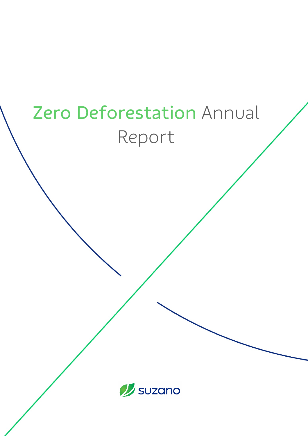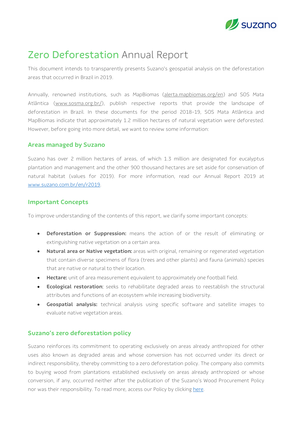

# **Zero Deforestation Annual Report**

This document intends to transparently presents Suzano's geospatial analysis on the deforestation areas that occurred in Brazil in 2019.

Annually, renowned institutions, such as MapBiomas (alerta.mapbiomas.org/en) and SOS Mata Atlântica (www.sosma.org.br/), publish respective reports that provide the landscape of deforestation in Brazil. In these documents for the period 2018-19, SOS Mata Atlântica and MapBiomas indicate that approximately 1.2 million hectares of natural vegetation were deforested. However, before going into more detail, we want to review some information:

#### **Areas managed by Suzano**

Suzano has over 2 million hectares of areas, of which 1.3 million are designated for eucalyptus plantation and management and the other 900 thousand hectares are set aside for conservation of natural habitat (values for 2019). For more information, read our Annual Report 2019 at www.suzano.com.br/en/r2019.

### **Important Concepts**

To improve understanding of the contents of this report, we clarify some important concepts:

- **Deforestation or Suppression:** means the action of or the result of eliminating or extinguishing native vegetation on a certain area.
- **Natural area or Native vegetation:** areas with original, remaining or regenerated vegetation that contain diverse specimens of flora (trees and other plants) and fauna (animals) species that are native or natural to their location.
- **Hectare:** unit of area measurement equivalent to approximately one football field.
- **Ecological restoration**: seeks to rehabilitate degraded areas to reestablish the structural attributes and functions of an ecosystem while increasing biodiversity.
- **Geospatial analysis:** technical analysis using specific software and satellite images to evaluate native vegetation areas.

### **Suzano's zero deforestation policy**

Suzano reinforces its commitment to operating exclusively on areas already anthropized for other uses also known as degraded areas and whose conversion has not occurred under its direct or indirect responsibility, thereby committing to a zero deforestation policy. The company also commits to buying wood from plantations established exclusively on areas already anthropized or whose conversion, if any, occurred neither after the publication of the Suzano's Wood Procurement Policy nor was their responsibility. To read more, access our Policy by clicking here.